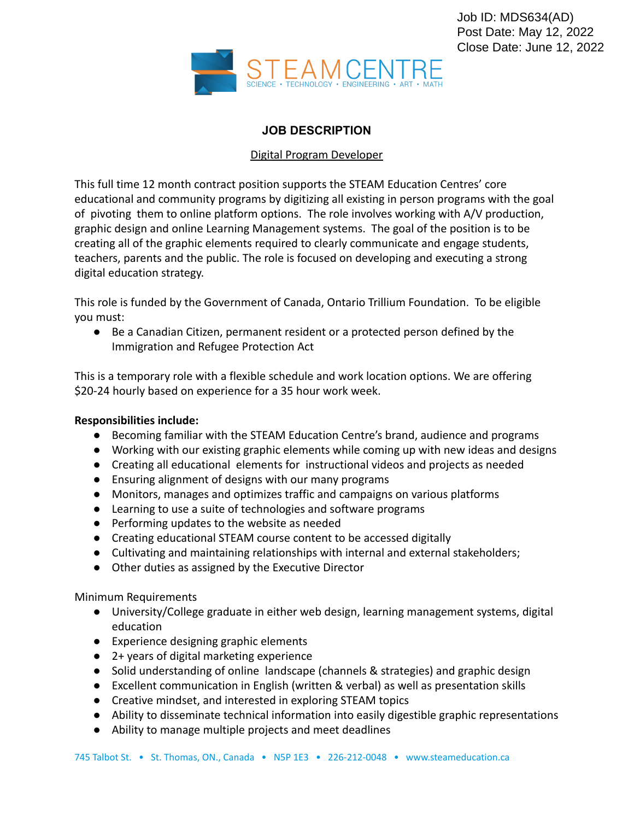

## **JOB DESCRIPTION**

## Digital Program Developer

This full time 12 month contract position supports the STEAM Education Centres' core educational and community programs by digitizing all existing in person programs with the goal of pivoting them to online platform options. The role involves working with A/V production, graphic design and online Learning Management systems. The goal of the position is to be creating all of the graphic elements required to clearly communicate and engage students, teachers, parents and the public. The role is focused on developing and executing a strong digital education strategy.

This role is funded by the Government of Canada, Ontario Trillium Foundation. To be eligible you must:

● Be a Canadian Citizen, permanent resident or a protected person defined by the Immigration and Refugee Protection Act

This is a temporary role with a flexible schedule and work location options. We are offering \$20-24 hourly based on experience for a 35 hour work week.

## **Responsibilities include:**

- Becoming familiar with the STEAM Education Centre's brand, audience and programs
- Working with our existing graphic elements while coming up with new ideas and designs
- Creating all educational elements for instructional videos and projects as needed
- Ensuring alignment of designs with our many programs
- Monitors, manages and optimizes traffic and campaigns on various platforms
- Learning to use a suite of technologies and software programs
- Performing updates to the website as needed
- Creating educational STEAM course content to be accessed digitally
- Cultivating and maintaining relationships with internal and external stakeholders;
- Other duties as assigned by the Executive Director

Minimum Requirements

- University/College graduate in either web design, learning management systems, digital education
- Experience designing graphic elements
- 2+ years of digital marketing experience
- Solid understanding of online landscape (channels & strategies) and graphic design
- Excellent communication in English (written & verbal) as well as presentation skills
- Creative mindset, and interested in exploring STEAM topics
- Ability to disseminate technical information into easily digestible graphic representations
- Ability to manage multiple projects and meet deadlines